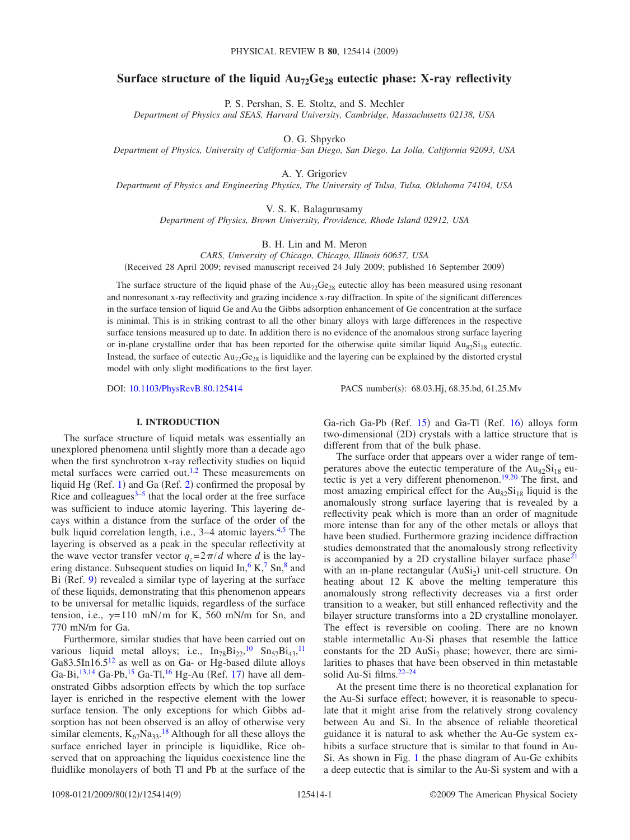# Surface structure of the liquid  $Au_{72}Ge_{28}$  eutectic phase: X-ray reflectivity

P. S. Pershan, S. E. Stoltz, and S. Mechler

*Department of Physics and SEAS, Harvard University, Cambridge, Massachusetts 02138, USA*

O. G. Shpyrko

*Department of Physics, University of California–San Diego, San Diego, La Jolla, California 92093, USA*

A. Y. Grigoriev

*Department of Physics and Engineering Physics, The University of Tulsa, Tulsa, Oklahoma 74104, USA*

V. S. K. Balagurusamy

*Department of Physics, Brown University, Providence, Rhode Island 02912, USA*

B. H. Lin and M. Meron

*CARS, University of Chicago, Chicago, Illinois 60637, USA* (Received 28 April 2009; revised manuscript received 24 July 2009; published 16 September 2009)

The surface structure of the liquid phase of the  $Au_{72}Ge_{28}$  eutectic alloy has been measured using resonant and nonresonant x-ray reflectivity and grazing incidence x-ray diffraction. In spite of the significant differences in the surface tension of liquid Ge and Au the Gibbs adsorption enhancement of Ge concentration at the surface is minimal. This is in striking contrast to all the other binary alloys with large differences in the respective surface tensions measured up to date. In addition there is no evidence of the anomalous strong surface layering or in-plane crystalline order that has been reported for the otherwise quite similar liquid  $Au_{82}Si_{18}$  eutectic. Instead, the surface of eutectic  $\text{Au}_{72}\text{Ge}_{28}$  is liquidlike and the layering can be explained by the distorted crystal model with only slight modifications to the first layer.

DOI: [10.1103/PhysRevB.80.125414](http://dx.doi.org/10.1103/PhysRevB.80.125414)

PACS number(s): 68.03.Hj, 68.35.bd, 61.25.Mv

# **I. INTRODUCTION**

The surface structure of liquid metals was essentially an unexplored phenomena until slightly more than a decade ago when the first synchrotron x-ray reflectivity studies on liquid metal surfaces were carried out[.1](#page-7-0)[,2](#page-7-1) These measurements on liquid Hg (Ref. [1](#page-7-0)) and Ga (Ref.  $2$ ) confirmed the proposal by Rice and colleagues $3-5$  $3-5$  that the local order at the free surface was sufficient to induce atomic layering. This layering decays within a distance from the surface of the order of the bulk liquid correlation length, i.e., 3–4 atomic layers.<sup>4,[5](#page-7-3)</sup> The layering is observed as a peak in the specular reflectivity at the wave vector transfer vector  $q_z = 2\pi/d$  where *d* is the layering distance. Subsequent studies on liquid  $\text{In}$ ,  $6 \text{ K}$ ,  $7 \text{ Sn}$ ,  $8 \text{ and } 8 \text{ m}$ Bi (Ref. [9](#page-7-8)) revealed a similar type of layering at the surface of these liquids, demonstrating that this phenomenon appears to be universal for metallic liquids, regardless of the surface tension, i.e.,  $\gamma = 110$  mN/m for K, 560 mN/m for Sn, and 770 mN/m for Ga.

Furthermore, similar studies that have been carried out on various liquid metal alloys; i.e.,  $In_{78}Bi_{22}$ ,  $^{10}Sn_{57}Bi_{43}$  $^{10}Sn_{57}Bi_{43}$  $^{10}Sn_{57}Bi_{43}$ ,  $^{11}$  $^{11}$  $^{11}$ Ga83.5In16.5<sup>12</sup> as well as on Ga- or Hg-based dilute alloys Ga-Bi, <sup>13, 14</sup> Ga-Pb, <sup>15</sup> Ga-Tl, <sup>16</sup> Hg-Au (Ref. [17](#page-7-16)) have all demonstrated Gibbs adsorption effects by which the top surface layer is enriched in the respective element with the lower surface tension. The only exceptions for which Gibbs adsorption has not been observed is an alloy of otherwise very similar elements,  $K_{67}Na_{33}$ .<sup>[18](#page-7-17)</sup> Although for all these alloys the surface enriched layer in principle is liquidlike, Rice observed that on approaching the liquidus coexistence line the fluidlike monolayers of both Tl and Pb at the surface of the

Ga-rich Ga-Pb (Ref. [15](#page-7-14)) and Ga-Tl (Ref. [16](#page-7-15)) alloys form two-dimensional (2D) crystals with a lattice structure that is different from that of the bulk phase.

The surface order that appears over a wider range of temperatures above the eutectic temperature of the  $Au_{82}Si_{18}$  eu-tectic is yet a very different phenomenon.<sup>19[,20](#page-7-19)</sup> The first, and most amazing empirical effect for the  $Au_{82}Si_{18}$  liquid is the anomalously strong surface layering that is revealed by a reflectivity peak which is more than an order of magnitude more intense than for any of the other metals or alloys that have been studied. Furthermore grazing incidence diffraction studies demonstrated that the anomalously strong reflectivity is accompanied by a 2D crystalline bilayer surface  $phase^{21}$ with an in-plane rectangular (AuSi<sub>2</sub>) unit-cell structure. On heating about 12 K above the melting temperature this anomalously strong reflectivity decreases via a first order transition to a weaker, but still enhanced reflectivity and the bilayer structure transforms into a 2D crystalline monolayer. The effect is reversible on cooling. There are no known stable intermetallic Au-Si phases that resemble the lattice constants for the 2D  $AuSi<sub>2</sub>$  phase; however, there are similarities to phases that have been observed in thin metastable solid Au-Si films.<sup>22-[24](#page-8-2)</sup>

At the present time there is no theoretical explanation for the Au-Si surface effect; however, it is reasonable to speculate that it might arise from the relatively strong covalency between Au and Si. In the absence of reliable theoretical guidance it is natural to ask whether the Au-Ge system exhibits a surface structure that is similar to that found in Au-Si. As shown in Fig. [1](#page-1-0) the phase diagram of Au-Ge exhibits a deep eutectic that is similar to the Au-Si system and with a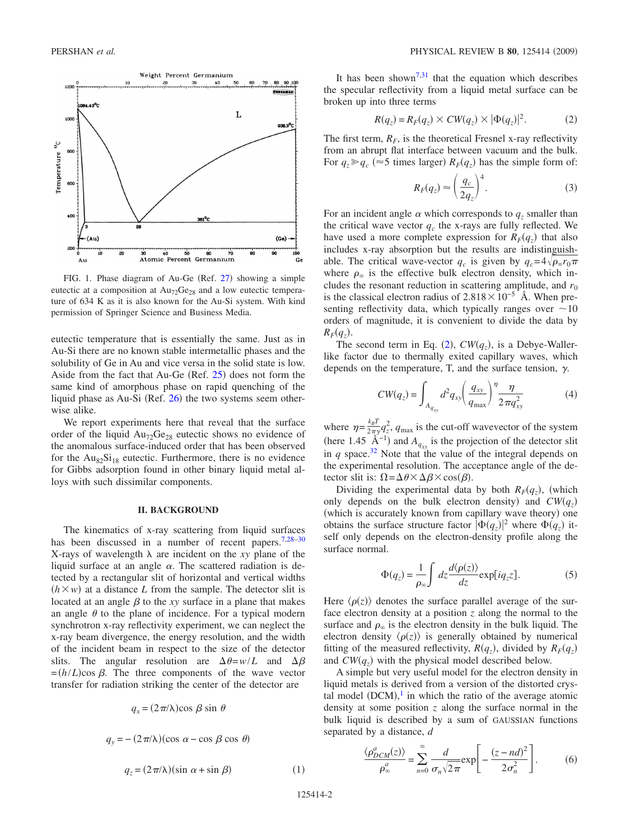<span id="page-1-0"></span>

FIG. 1. Phase diagram of Au-Ge (Ref. [27](#page-8-9)) showing a simple eutectic at a composition at  $Au_{72}Ge_{28}$  and a low eutectic temperature of 634 K as it is also known for the Au-Si system. With kind permission of Springer Science and Business Media.

eutectic temperature that is essentially the same. Just as in Au-Si there are no known stable intermetallic phases and the solubility of Ge in Au and vice versa in the solid state is low. Aside from the fact that Au-Ge  $(Ref. 25)$  $(Ref. 25)$  $(Ref. 25)$  does not form the same kind of amorphous phase on rapid quenching of the liquid phase as Au-Si (Ref. [26](#page-8-4)) the two systems seem otherwise alike.

We report experiments here that reveal that the surface order of the liquid  $Au_{72}Ge_{28}$  eutectic shows no evidence of the anomalous surface-induced order that has been observed for the  $Au_{82}Si_{18}$  eutectic. Furthermore, there is no evidence for Gibbs adsorption found in other binary liquid metal alloys with such dissimilar components.

### **II. BACKGROUND**

The kinematics of x-ray scattering from liquid surfaces has been discussed in a number of recent papers.<sup>7[,28](#page-8-5)[–30](#page-8-6)</sup> X-rays of wavelength  $\lambda$  are incident on the *xy* plane of the liquid surface at an angle  $\alpha$ . The scattered radiation is detected by a rectangular slit of horizontal and vertical widths  $(h \times w)$  at a distance *L* from the sample. The detector slit is located at an angle  $\beta$  to the *xy* surface in a plane that makes an angle  $\theta$  to the plane of incidence. For a typical modern synchrotron x-ray reflectivity experiment, we can neglect the x-ray beam divergence, the energy resolution, and the width of the incident beam in respect to the size of the detector slits. The angular resolution are  $\Delta \theta = w/L$  and  $\Delta \beta$  $= (h/L) \cos \beta$ . The three components of the wave vector transfer for radiation striking the center of the detector are

<span id="page-1-3"></span>
$$
q_x = (2\pi/\lambda)\cos\beta\sin\theta
$$
  

$$
q_y = -(2\pi/\lambda)(\cos\alpha - \cos\beta\cos\theta)
$$
  

$$
q_z = (2\pi/\lambda)(\sin\alpha + \sin\beta)
$$

It has been shown<sup>7[,31](#page-8-7)</sup> that the equation which describes the specular reflectivity from a liquid metal surface can be broken up into three terms

$$
R(q_z) = R_F(q_z) \times CW(q_z) \times |\Phi(q_z)|^2.
$$
 (2)

<span id="page-1-1"></span>The first term,  $R_F$ , is the theoretical Fresnel x-ray reflectivity from an abrupt flat interface between vacuum and the bulk. For  $q_z \geqslant q_c$  ( $\approx$  5 times larger)  $R_F(q_z)$  has the simple form of:

$$
R_F(q_z) \approx \left(\frac{q_c}{2q_z}\right)^4.
$$
 (3)

<span id="page-1-4"></span>For an incident angle  $\alpha$  which corresponds to  $q_z$  smaller than the critical wave vector  $q_c$  the x-rays are fully reflected. We have used a more complete expression for  $R_F(q_z)$  that also includes x-ray absorption but the results are indistinguishable. The critical wave-vector  $q_c$  is given by  $q_c = 4\sqrt{\rho_\infty r_0 \pi}$ where  $\rho_{\infty}$  is the effective bulk electron density, which includes the resonant reduction in scattering amplitude, and  $r_0$ is the classical electron radius of  $2.818\times10^{-5}$  Å. When presenting reflectivity data, which typically ranges over  $\sim 10$ orders of magnitude, it is convenient to divide the data by  $R_F(q_z)$ .

<span id="page-1-5"></span>The second term in Eq. ([2](#page-1-1)),  $CW(q_z)$ , is a Debye-Wallerlike factor due to thermally exited capillary waves, which depends on the temperature, T, and the surface tension,  $\gamma$ .

$$
CW(q_z) = \int_{A_{q_{xy}}} d^2 q_{xy} \left(\frac{q_{xy}}{q_{\text{max}}}\right)^{\eta} \frac{\eta}{2 \pi q_{xy}^2}
$$
(4)

where  $\eta = \frac{k_B T}{2\pi \gamma} q_z^2$ ,  $q_{\text{max}}$  is the cut-off wavevector of the system (here 1.45  $\mathring{A}^{-1}$ ) and  $A_{q_{xy}}$  is the projection of the detector slit in *q* space.<sup>32</sup> Note that the value of the integral depends on the experimental resolution. The acceptance angle of the detector slit is:  $\Omega = \Delta \theta \times \Delta \beta \times \cos(\beta)$ .

Dividing the experimental data by both  $R_F(q_z)$ , (which only depends on the bulk electron density) and  $CW(q_z)$ (which is accurately known from capillary wave theory) one obtains the surface structure factor  $|\Phi(q_z)|^2$  where  $\Phi(q_z)$  itself only depends on the electron-density profile along the surface normal.

$$
\Phi(q_z) = \frac{1}{\rho_{\infty}} \int dz \frac{d\langle \rho(z) \rangle}{dz} \exp[i q_z z]. \tag{5}
$$

<span id="page-1-2"></span>Here  $\langle \rho(z) \rangle$  denotes the surface parallel average of the surface electron density at a position *z* along the normal to the surface and  $\rho_{\infty}$  is the electron density in the bulk liquid. The electron density  $\langle \rho(z) \rangle$  is generally obtained by numerical fitting of the measured reflectivity,  $R(q_z)$ , divided by  $R_F(q_z)$ and  $CW(q_z)$  with the physical model described below.

A simple but very useful model for the electron density in liquid metals is derived from a version of the distorted crystal model  $(DCM)$ ,<sup>[1](#page-7-0)</sup> in which the ratio of the average atomic density at some position *z* along the surface normal in the bulk liquid is described by a sum of GAUSSIAN functions separated by a distance, *d*

$$
\frac{\langle \rho_{DCM}^a(z) \rangle}{\rho_{\infty}^a} = \sum_{n=0}^{\infty} \frac{d}{\sigma_n \sqrt{2\pi}} \exp\left[-\frac{(z - nd)^2}{2\sigma_n^2}\right].
$$
 (6)

 $(1)$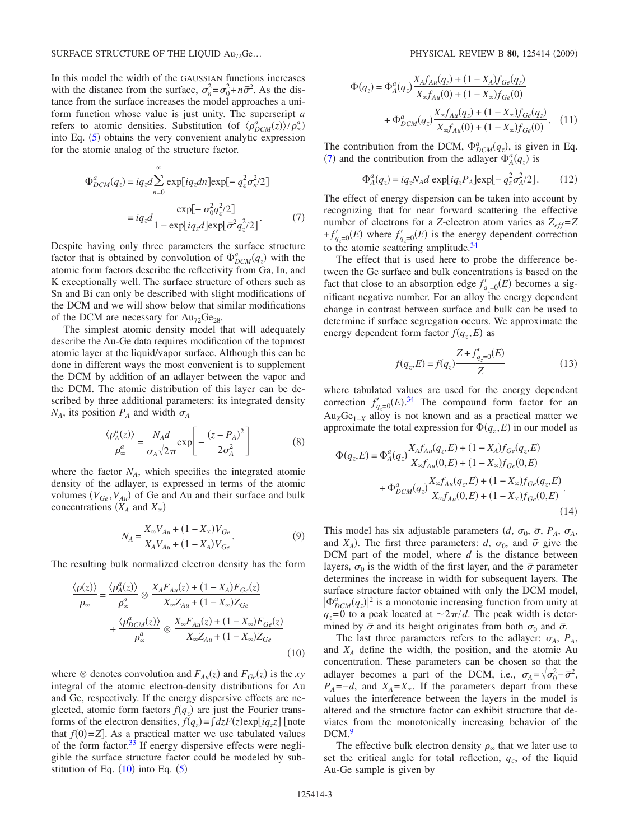In this model the width of the GAUSSIAN functions increases with the distance from the surface,  $\sigma_n^2 = \sigma_0^2 + n\bar{\sigma}^2$ . As the distance from the surface increases the model approaches a uniform function whose value is just unity. The superscript *a* refers to atomic densities. Substitution (of  $\langle \rho_{DCM}^a(z) \rangle / \rho_{\infty}^a$ ) into Eq. ([5](#page-1-2)) obtains the very convenient analytic expression for the atomic analog of the structure factor.

<span id="page-2-1"></span>
$$
\Phi_{DCM}^{a}(q_z) = iq_z d \sum_{n=0}^{\infty} \exp[iq_z dn] \exp[-q_z^2 \sigma_n^2/2]
$$
  
=  $iq_z d \frac{\exp[-\sigma_0^2 q_z^2/2]}{1 - \exp[iq_z d] \exp[\bar{\sigma}^2 q_z^2/2]}$ . (7)

Despite having only three parameters the surface structure factor that is obtained by convolution of  $\Phi_{DCM}^a(q_z)$  with the atomic form factors describe the reflectivity from Ga, In, and K exceptionally well. The surface structure of others such as Sn and Bi can only be described with slight modifications of the DCM and we will show below that similar modifications of the DCM are necessary for  $Au_{72}Ge_{28}$ .

The simplest atomic density model that will adequately describe the Au-Ge data requires modification of the topmost atomic layer at the liquid/vapor surface. Although this can be done in different ways the most convenient is to supplement the DCM by addition of an adlayer between the vapor and the DCM. The atomic distribution of this layer can be described by three additional parameters: its integrated density  $N_A$ , its position  $P_A$  and width  $\sigma_A$ 

$$
\frac{\langle \rho_A^a(z) \rangle}{\rho_\infty^a} = \frac{N_A d}{\sigma_A \sqrt{2\pi}} \exp\left[ -\frac{(z - P_A)^2}{2\sigma_A^2} \right] \tag{8}
$$

where the factor  $N_A$ , which specifies the integrated atomic density of the adlayer, is expressed in terms of the atomic volumes  $(V_{Ge}, V_{Au})$  of Ge and Au and their surface and bulk concentrations  $(X_A \text{ and } X_\infty)$ 

$$
N_A = \frac{X_{\infty}V_{Au} + (1 - X_{\infty})V_{Ge}}{X_A V_{Au} + (1 - X_A)V_{Ge}}.
$$
\n(9)

<span id="page-2-0"></span>The resulting bulk normalized electron density has the form

$$
\frac{\langle \rho(z) \rangle}{\rho_{\infty}} = \frac{\langle \rho_A^a(z) \rangle}{\rho_{\infty}^a} \otimes \frac{X_A F_{Au}(z) + (1 - X_A) F_{Ge}(z)}{X_{\infty} Z_{Au} + (1 - X_{\infty}) Z_{Ge}} + \frac{\langle \rho_{DCM}^a(z) \rangle}{\rho_{\infty}^a} \otimes \frac{X_{\infty} F_{Au}(z) + (1 - X_{\infty}) F_{Ge}(z)}{X_{\infty} Z_{Au} + (1 - X_{\infty}) Z_{Ge}} \tag{10}
$$

where  $\otimes$  denotes convolution and  $F_{Au}(z)$  and  $F_{Ge}(z)$  is the *xy* integral of the atomic electron-density distributions for Au and Ge, respectively. If the energy dispersive effects are neglected, atomic form factors  $f(q_z)$  are just the Fourier transforms of the electron densities,  $f(q_z) = \int dz F(z) \exp[iq_z z]$  [note that  $f(0)=Z$ . As a practical matter we use tabulated values of the form factor.<sup>33</sup> If energy dispersive effects were negligible the surface structure factor could be modeled by substitution of Eq.  $(10)$  $(10)$  $(10)$  into Eq.  $(5)$  $(5)$  $(5)$ 

$$
\Phi(q_z) = \Phi_A^a(q_z) \frac{X_A f_{Au}(q_z) + (1 - X_A) f_{Ge}(q_z)}{X_{\infty} f_{Au}(0) + (1 - X_{\infty}) f_{Ge}(0)} + \Phi_{DCM}^a(q_z) \frac{X_{\infty} f_{Au}(q_z) + (1 - X_{\infty}) f_{Ge}(q_z)}{X_{\infty} f_{Au}(0) + (1 - X_{\infty}) f_{Ge}(0)}.
$$
 (11)

The contribution from the DCM,  $\Phi_{DCM}^a(q_z)$ , is given in Eq. ([7](#page-2-1)) and the contribution from the adlayer  $\Phi_A^a(q_z)$  is

$$
\Phi_A^a(q_z) = iq_z N_A d \exp[iq_z P_A] \exp[-q_z^2 \sigma_A^2/2].
$$
 (12)

The effect of energy dispersion can be taken into account by recognizing that for near forward scattering the effective number of electrons for a *Z*-electron atom varies as  $Z_{eff} = Z$  $+f'_{q_z=0}(E)$  where  $f'_{q_z=0}(E)$  is the energy dependent correction to the atomic scattering amplitude. $34$ 

The effect that is used here to probe the difference between the Ge surface and bulk concentrations is based on the fact that close to an absorption edge  $f'_{q_z=0}(E)$  becomes a significant negative number. For an alloy the energy dependent change in contrast between surface and bulk can be used to determine if surface segregation occurs. We approximate the energy dependent form factor  $f(q_z, E)$  as

$$
f(q_z, E) = f(q_z) \frac{Z + f'_{q_z=0}(E)}{Z}
$$
 (13)

where tabulated values are used for the energy dependent correction  $f'_{q_z=0}(E)^{34}$  $f'_{q_z=0}(E)^{34}$  $f'_{q_z=0}(E)^{34}$  The compound form factor for an  $Au_XGe_{1-X}$  alloy is not known and as a practical matter we approximate the total expression for  $\Phi(q_z, E)$  in our model as

<span id="page-2-2"></span>
$$
\Phi(q_z, E) = \Phi_A^a(q_z) \frac{X_A f_{Au}(q_z, E) + (1 - X_A) f_{Ge}(q_z, E)}{X_{\infty} f_{Au}(0, E) + (1 - X_{\infty}) f_{Ge}(0, E)} \n+ \Phi_{DCM}^a(q_z) \frac{X_{\infty} f_{Au}(q_z, E) + (1 - X_{\infty}) f_{Ge}(q_z, E)}{X_{\infty} f_{Au}(0, E) + (1 - X_{\infty}) f_{Ge}(0, E)}.
$$
\n(14)

This model has six adjustable parameters  $(d, \sigma_0, \bar{\sigma}, P_A, \sigma_A, \sigma_B)$ and  $X_A$ ). The first three parameters: *d*,  $\sigma_0$ , and  $\bar{\sigma}$  give the DCM part of the model, where *d* is the distance between layers,  $\sigma_0$  is the width of the first layer, and the  $\bar{\sigma}$  parameter determines the increase in width for subsequent layers. The surface structure factor obtained with only the DCM model,  $|\Phi_{DCM}^a(q_z)|^2$  is a monotonic increasing function from unity at  $q_z$ =0 to a peak located at  $\sim$ 2 $\pi/d$ . The peak width is determined by  $\bar{\sigma}$  and its height originates from both  $\sigma_0$  and  $\bar{\sigma}$ .

The last three parameters refers to the adlayer:  $\sigma_A$ ,  $P_A$ , and *XA* define the width, the position, and the atomic Au concentration. These parameters can be chosen so that the adlayer becomes a part of the DCM, i.e.,  $\sigma_A = \sqrt{\sigma_0^2 - \vec{\sigma}^2}$ ,  $P_A = -d$ , and  $X_A = X_\infty$ . If the parameters depart from these values the interference between the layers in the model is altered and the structure factor can exhibit structure that deviates from the monotonically increasing behavior of the DCM.<sup>9</sup>

The effective bulk electron density  $\rho_{\infty}$  that we later use to set the critical angle for total reflection,  $q_c$ , of the liquid Au-Ge sample is given by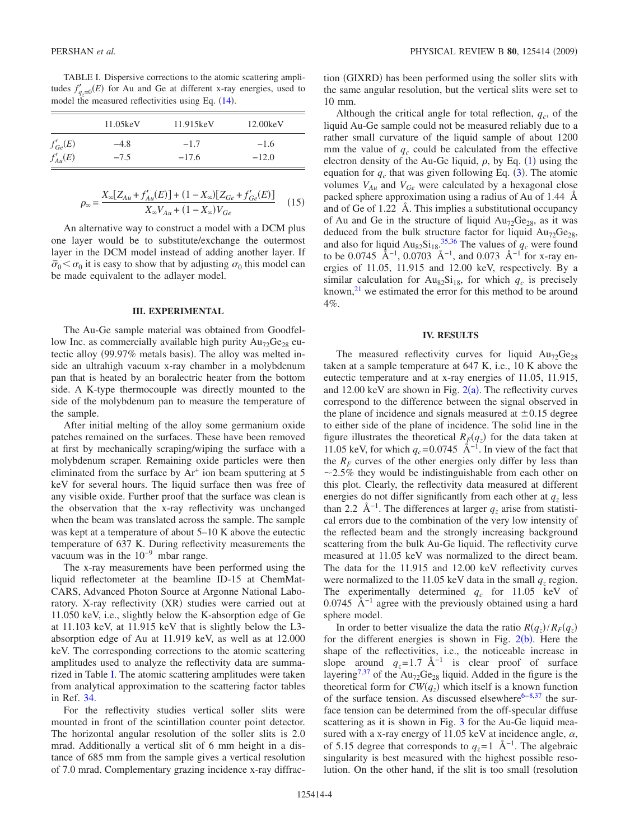<span id="page-3-0"></span>TABLE I. Dispersive corrections to the atomic scattering amplitudes  $f'_{q_z=0}(E)$  for Au and Ge at different x-ray energies, used to model the measured reflectivities using Eq.  $(14)$  $(14)$  $(14)$ .

|              | 11.05keV | 11.915keV | 12.00keV |
|--------------|----------|-----------|----------|
| $f'_{Ge}(E)$ | $-4.8$   | $-1.7$    | $-1.6$   |
| $f'_{Au}(E)$ | $-7.5$   | $-17.6$   | $-12.0$  |

$$
\rho_{\infty} = \frac{X_{\infty} [Z_{Au} + f'_{Au}(E)] + (1 - X_{\infty}) [Z_{Ge} + f'_{Ge}(E)]}{X_{\infty} V_{Au} + (1 - X_{\infty}) V_{Ge}} \tag{15}
$$

An alternative way to construct a model with a DCM plus one layer would be to substitute/exchange the outermost layer in the DCM model instead of adding another layer. If  $\sigma_0 < \sigma_0$  it is easy to show that by adjusting  $\sigma_0$  this model can be made equivalent to the adlayer model.

### **III. EXPERIMENTAL**

The Au-Ge sample material was obtained from Goodfellow Inc. as commercially available high purity  $Au_{72}Ge_{28}$  eutectic alloy (99.97% metals basis). The alloy was melted inside an ultrahigh vacuum x-ray chamber in a molybdenum pan that is heated by an boralectric heater from the bottom side. A K-type thermocouple was directly mounted to the side of the molybdenum pan to measure the temperature of the sample.

After initial melting of the alloy some germanium oxide patches remained on the surfaces. These have been removed at first by mechanically scraping/wiping the surface with a molybdenum scraper. Remaining oxide particles were then eliminated from the surface by  $Ar^+$  ion beam sputtering at 5 keV for several hours. The liquid surface then was free of any visible oxide. Further proof that the surface was clean is the observation that the x-ray reflectivity was unchanged when the beam was translated across the sample. The sample was kept at a temperature of about 5–10 K above the eutectic temperature of 637 K. During reflectivity measurements the vacuum was in the  $10^{-9}$  mbar range.

The x-ray measurements have been performed using the liquid reflectometer at the beamline ID-15 at ChemMat-CARS, Advanced Photon Source at Argonne National Laboratory. X-ray reflectivity (XR) studies were carried out at 11.050 keV, i.e., slightly below the K-absorption edge of Ge at 11.103 keV, at 11.915 keV that is slightly below the L3 absorption edge of Au at 11.919 keV, as well as at 12.000 keV. The corresponding corrections to the atomic scattering amplitudes used to analyze the reflectivity data are summarized in Table [I.](#page-3-0) The atomic scattering amplitudes were taken from analytical approximation to the scattering factor tables in Ref. [34.](#page-8-11)

For the reflectivity studies vertical soller slits were mounted in front of the scintillation counter point detector. The horizontal angular resolution of the soller slits is 2.0 mrad. Additionally a vertical slit of 6 mm height in a distance of 685 mm from the sample gives a vertical resolution of 7.0 mrad. Complementary grazing incidence x-ray diffrac-

tion (GIXRD) has been performed using the soller slits with the same angular resolution, but the vertical slits were set to 10 mm.

Although the critical angle for total reflection,  $q_c$ , of the liquid Au-Ge sample could not be measured reliably due to a rather small curvature of the liquid sample of about 1200 mm the value of  $q_c$  could be calculated from the effective electron density of the Au-Ge liquid,  $\rho$ , by Eq. ([1](#page-1-3)) using the equation for  $q_c$  that was given following Eq. ([3](#page-1-4)). The atomic volumes  $V_{Au}$  and  $V_{Ge}$  were calculated by a hexagonal close packed sphere approximation using a radius of Au of 1.44 Å and of Ge of 1.22 Å. This implies a substitutional occupancy of Au and Ge in the structure of liquid  $Au_{72}Ge_{28}$ , as it was deduced from the bulk structure factor for liquid  $Au_{72}Ge_{28}$ , and also for liquid  $Au_{82}Si_{18}^{35,36}$  $Au_{82}Si_{18}^{35,36}$  $Au_{82}Si_{18}^{35,36}$  $Au_{82}Si_{18}^{35,36}$  The values of  $q_c$  were found to be 0.0745 Å<sup>-1</sup>, 0.0703 Å<sup>-1</sup>, and 0.073 Å<sup>-1</sup> for x-ray energies of 11.05, 11.915 and 12.00 keV, respectively. By a similar calculation for  $Au_{82}Si_{18}$ , for which  $q_c$  is precisely known, $^{21}$  we estimated the error for this method to be around  $4%$ 

#### **IV. RESULTS**

The measured reflectivity curves for liquid  $Au_{72}Ge_{28}$ taken at a sample temperature at 647 K, i.e., 10 K above the eutectic temperature and at x-ray energies of 11.05, 11.915, and 1[2](#page-4-0).00 keV are shown in Fig.  $2(a)$ . The reflectivity curves correspond to the difference between the signal observed in the plane of incidence and signals measured at  $\pm 0.15$  degree to either side of the plane of incidence. The solid line in the figure illustrates the theoretical  $R_F(q_z)$  for the data taken at 11.05 keV, for which  $q_c$ = 0.0745 Å<sup>-1</sup>. In view of the fact that the  $R_F$  curves of the other energies only differ by less than 2.5*%* they would be indistinguishable from each other on this plot. Clearly, the reflectivity data measured at different energies do not differ significantly from each other at  $q<sub>z</sub>$  less than 2.2 Å<sup>-1</sup>. The differences at larger  $q_z$  arise from statistical errors due to the combination of the very low intensity of the reflected beam and the strongly increasing background scattering from the bulk Au-Ge liquid. The reflectivity curve measured at 11.05 keV was normalized to the direct beam. The data for the 11.915 and 12.00 keV reflectivity curves were normalized to the 11.05 keV data in the small  $q_z$  region. The experimentally determined  $q_c$  for 11.05 keV of 0.0745  $\AA^{-1}$  agree with the previously obtained using a hard sphere model.

In order to better visualize the data the ratio  $R(q_z)/R_F(q_z)$ for the different energies is shown in Fig.  $2(b)$  $2(b)$ . Here the shape of the reflectivities, i.e., the noticeable increase in slope around  $q_z = 1.7 \text{ Å}^{-1}$  is clear proof of surface layering<sup>7,[37](#page-8-14)</sup> of the Au<sub>72</sub>Ge<sub>28</sub> liquid. Added in the figure is the theoretical form for  $CW(q_z)$  which itself is a known function of the surface tension. As discussed elsewhere<sup>6[–8,](#page-7-7)[37](#page-8-14)</sup> the surface tension can be determined from the off-specular diffuse scattering as it is shown in Fig. [3](#page-4-1) for the Au-Ge liquid measured with a x-ray energy of 11.05 keV at incidence angle,  $\alpha$ , of 5.15 degree that corresponds to  $q_z=1$  Å<sup>-1</sup>. The algebraic singularity is best measured with the highest possible resolution. On the other hand, if the slit is too small (resolution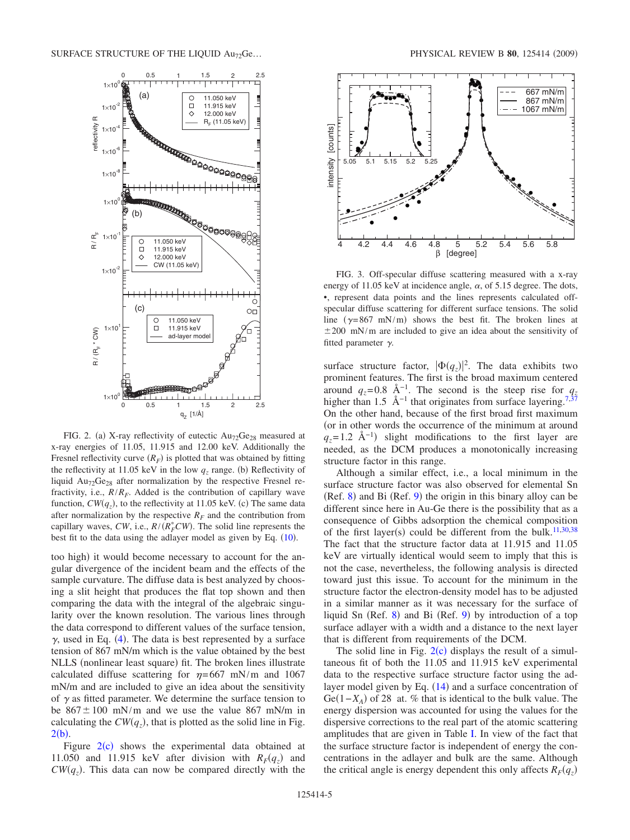<span id="page-4-0"></span>

FIG. 2. (a) X-ray reflectivity of eutectic  $Au_{72}Ge_{28}$  measured at x-ray energies of 11.05, 11.915 and 12.00 keV. Additionally the Fresnel reflectivity curve  $(R_F)$  is plotted that was obtained by fitting the reflectivity at 11.05 keV in the low  $q_z$  range. (b) Reflectivity of liquid  $Au_{72}Ge_{28}$  after normalization by the respective Fresnel refractivity, i.e.,  $R/R_F$ . Added is the contribution of capillary wave function,  $CW(q_z)$ , to the reflectivity at 11.05 keV. (c) The same data after normalization by the respective  $R_F$  and the contribution from capillary waves, *CW*, i.e.,  $R/(R_F^*CW)$ . The solid line represents the best fit to the data using the adlayer model as given by Eq.  $(10)$  $(10)$  $(10)$ .

too high) it would become necessary to account for the angular divergence of the incident beam and the effects of the sample curvature. The diffuse data is best analyzed by choosing a slit height that produces the flat top shown and then comparing the data with the integral of the algebraic singularity over the known resolution. The various lines through the data correspond to different values of the surface tension,  $\gamma$ , used in Eq. ([4](#page-1-5)). The data is best represented by a surface tension of 867 mN/m which is the value obtained by the best NLLS (nonlinear least square) fit. The broken lines illustrate calculated diffuse scattering for  $\eta = 667$  mN/m and 1067 mN/m and are included to give an idea about the sensitivity of  $\gamma$  as fitted parameter. We determine the surface tension to be  $867 \pm 100$  mN/m and we use the value 867 mN/m in calculating the  $CW(q_z)$ , that is plotted as the solid line in Fig.  $2(b)$  $2(b)$ .

Figure  $2(c)$  $2(c)$  shows the experimental data obtained at 11.050 and 11.915 keV after division with  $R_F(q_z)$  and  $CW(q_z)$ . This data can now be compared directly with the

<span id="page-4-1"></span>

FIG. 3. Off-specular diffuse scattering measured with a x-ray energy of 11.05 keV at incidence angle,  $\alpha$ , of 5.15 degree. The dots, •, represent data points and the lines represents calculated offspecular diffuse scattering for different surface tensions. The solid line ( $\gamma$ =867 mN/m) shows the best fit. The broken lines at  $\pm 200$  mN/m are included to give an idea about the sensitivity of fitted parameter  $\gamma$ .

surface structure factor,  $|\Phi(q_z)|^2$ . The data exhibits two prominent features. The first is the broad maximum centered around  $q_z$ =0.8 Å<sup>-1</sup>. The second is the steep rise for  $q_z$ higher than 1.5 Å<sup>-1</sup> that originates from surface layering.<sup>7[,37](#page-8-14)</sup> On the other hand, because of the first broad first maximum (or in other words the occurrence of the minimum at around  $q_z$ =1.2 Å<sup>-1</sup>) slight modifications to the first layer are needed, as the DCM produces a monotonically increasing structure factor in this range.

Although a similar effect, i.e., a local minimum in the surface structure factor was also observed for elemental Sn  $(Ref. 8)$  $(Ref. 8)$  $(Ref. 8)$  and Bi  $(Ref. 9)$  $(Ref. 9)$  $(Ref. 9)$  the origin in this binary alloy can be different since here in Au-Ge there is the possibility that as a consequence of Gibbs adsorption the chemical composition of the first layer(s) could be different from the bulk.<sup>11,[30](#page-8-6)[,38](#page-8-15)</sup> The fact that the structure factor data at 11.915 and 11.05 keV are virtually identical would seem to imply that this is not the case, nevertheless, the following analysis is directed toward just this issue. To account for the minimum in the structure factor the electron-density model has to be adjusted in a similar manner as it was necessary for the surface of liquid Sn (Ref. [8](#page-7-7)) and Bi (Ref. [9](#page-7-8)) by introduction of a top surface adlayer with a width and a distance to the next layer that is different from requirements of the DCM.

The solid line in Fig.  $2(c)$  $2(c)$  displays the result of a simultaneous fit of both the 11.05 and 11.915 keV experimental data to the respective surface structure factor using the adlayer model given by Eq.  $(14)$  $(14)$  $(14)$  and a surface concentration of Ge(1–*X*<sub>A</sub>) of 28 at. % that is identical to the bulk value. The energy dispersion was accounted for using the values for the dispersive corrections to the real part of the atomic scattering amplitudes that are given in Table [I.](#page-3-0) In view of the fact that the surface structure factor is independent of energy the concentrations in the adlayer and bulk are the same. Although the critical angle is energy dependent this only affects  $R_F(q_z)$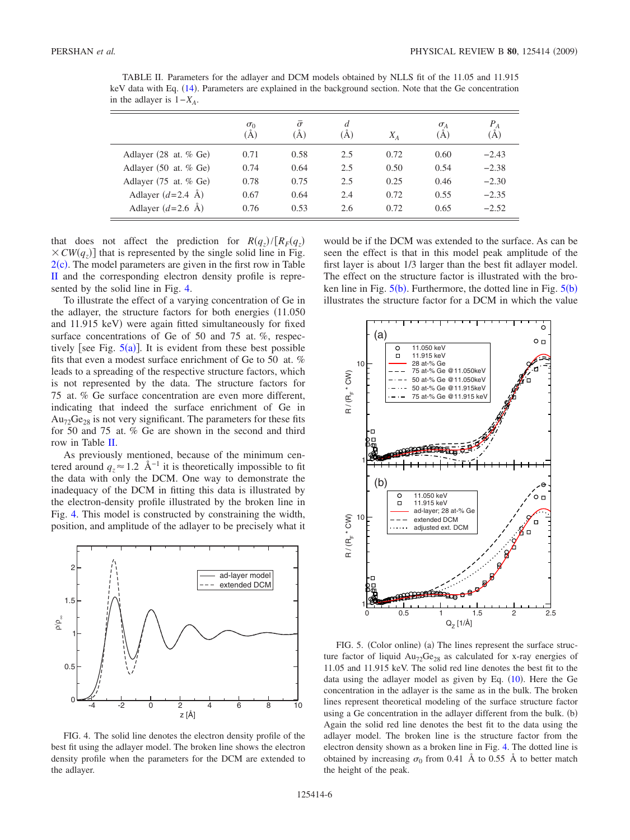<span id="page-5-0"></span>TABLE II. Parameters for the adlayer and DCM models obtained by NLLS fit of the 11.05 and 11.915 keV data with Eq. ([14](#page-2-2)). Parameters are explained in the background section. Note that the Ge concentration in the adlayer is  $1-X_A$ .

|                                           | $\sigma_0$<br>A) | $\bar{\sigma}$<br>(A) | d<br>(A) | $X_A$ | $\sigma_A$<br>(A) | $P_A$<br>(Å) |
|-------------------------------------------|------------------|-----------------------|----------|-------|-------------------|--------------|
| Adlayer $(28 \text{ at. } %$ Ge)          | 0.71             | 0.58                  | 2.5      | 0.72  | 0.60              | $-2.43$      |
| Adlayer $(50 \text{ at. } %$ Ge)          | 0.74             | 0.64                  | 2.5      | 0.50  | 0.54              | $-2.38$      |
| Adlayer $(75 \text{ at. } \% \text{ Ge})$ | 0.78             | 0.75                  | 2.5      | 0.25  | 0.46              | $-2.30$      |
| Adlayer $(d=2.4 \text{ Å})$               | 0.67             | 0.64                  | 2.4      | 0.72  | 0.55              | $-2.35$      |
| Adlayer $(d=2.6 \text{ Å})$               | 0.76             | 0.53                  | 2.6      | 0.72  | 0.65              | $-2.52$      |

that does not affect the prediction for  $R(q_z)/[R_F(q_z)]$  $\times CW(q_z)$  that is represented by the single solid line in Fig.  $2(c)$  $2(c)$ . The model parameters are given in the first row in Table [II](#page-5-0) and the corresponding electron density profile is represented by the solid line in Fig. [4.](#page-5-1)

To illustrate the effect of a varying concentration of Ge in the adlayer, the structure factors for both energies  $(11.050)$ and 11.915 keV) were again fitted simultaneously for fixed surface concentrations of Ge of 50 and 75 at. *%*, respectively [see Fig.  $5(a)$  $5(a)$ ]. It is evident from these best possible fits that even a modest surface enrichment of Ge to 50 at. *%* leads to a spreading of the respective structure factors, which is not represented by the data. The structure factors for 75 at. *%* Ge surface concentration are even more different, indicating that indeed the surface enrichment of Ge in  $Au_{72}Ge_{28}$  is not very significant. The parameters for these fits for 50 and 75 at. *%* Ge are shown in the second and third row in Table [II.](#page-5-0)

As previously mentioned, because of the minimum centered around  $q_z \approx 1.2$  Å<sup>-1</sup> it is theoretically impossible to fit the data with only the DCM. One way to demonstrate the inadequacy of the DCM in fitting this data is illustrated by the electron-density profile illustrated by the broken line in Fig. [4.](#page-5-1) This model is constructed by constraining the width, position, and amplitude of the adlayer to be precisely what it

<span id="page-5-1"></span>

FIG. 4. The solid line denotes the electron density profile of the best fit using the adlayer model. The broken line shows the electron density profile when the parameters for the DCM are extended to the adlayer.

would be if the DCM was extended to the surface. As can be seen the effect is that in this model peak amplitude of the first layer is about 1/3 larger than the best fit adlayer model. The effect on the structure factor is illustrated with the broken line in Fig.  $5(b)$  $5(b)$ . Furthermore, the dotted line in Fig.  $5(b)$ illustrates the structure factor for a DCM in which the value

<span id="page-5-2"></span>

FIG. 5. (Color online) (a) The lines represent the surface structure factor of liquid  $Au_{72}Ge_{28}$  as calculated for x-ray energies of 11.05 and 11.915 keV. The solid red line denotes the best fit to the data using the adlayer model as given by Eq.  $(10)$  $(10)$  $(10)$ . Here the Ge concentration in the adlayer is the same as in the bulk. The broken lines represent theoretical modeling of the surface structure factor using a Ge concentration in the adlayer different from the bulk. (b) Again the solid red line denotes the best fit to the data using the adlayer model. The broken line is the structure factor from the electron density shown as a broken line in Fig. [4.](#page-5-1) The dotted line is obtained by increasing  $\sigma_0$  from 0.41 Å to 0.55 Å to better match the height of the peak.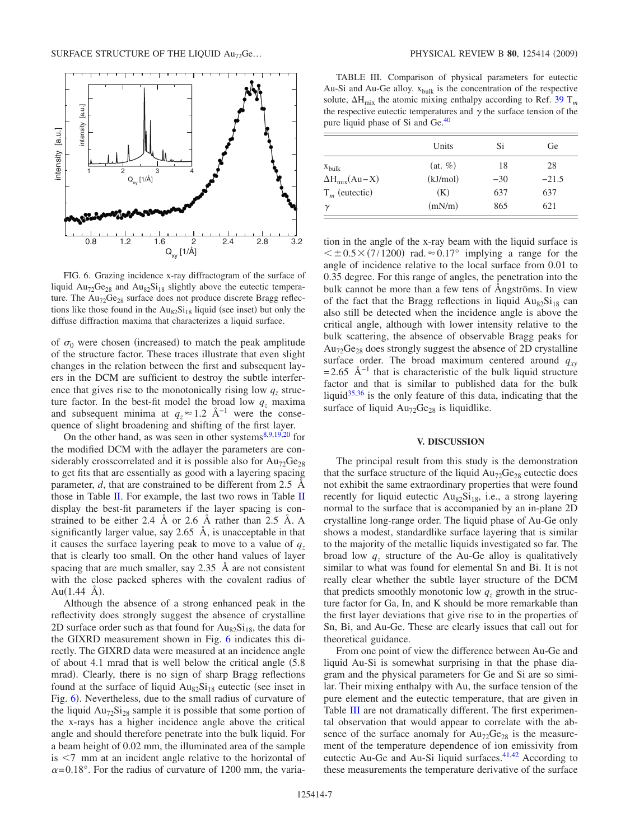<span id="page-6-0"></span>

FIG. 6. Grazing incidence x-ray diffractogram of the surface of liquid  $Au_{72}Ge_{28}$  and  $Au_{82}Si_{18}$  slightly above the eutectic temperature. The Au<sub>72</sub>Ge<sub>28</sub> surface does not produce discrete Bragg reflections like those found in the  $Au_{82}Si_{18}$  liquid (see inset) but only the diffuse diffraction maxima that characterizes a liquid surface.

of  $\sigma_0$  were chosen (increased) to match the peak amplitude of the structure factor. These traces illustrate that even slight changes in the relation between the first and subsequent layers in the DCM are sufficient to destroy the subtle interference that gives rise to the monotonically rising low  $q<sub>z</sub>$  structure factor. In the best-fit model the broad low  $q_z$  maxima and subsequent minima at  $q_z \approx 1.2 \text{ Å}^{-1}$  were the consequence of slight broadening and shifting of the first layer.

On the other hand, as was seen in other systems $8,9,19,20$  $8,9,19,20$  $8,9,19,20$  $8,9,19,20$  for the modified DCM with the adlayer the parameters are considerably crosscorrelated and it is possible also for  $Au_{72}Ge_{28}$ to get fits that are essentially as good with a layering spacing parameter, *d*, that are constrained to be different from 2.5 Å those in Table [II.](#page-5-0) For example, the last two rows in Table [II](#page-5-0) display the best-fit parameters if the layer spacing is constrained to be either 2.4 Å or 2.6 Å rather than 2.5 Å. A significantly larger value, say 2.65 Å, is unacceptable in that it causes the surface layering peak to move to a value of  $q<sub>z</sub>$ that is clearly too small. On the other hand values of layer spacing that are much smaller, say 2.35 Å are not consistent with the close packed spheres with the covalent radius of  $Au(1.44 \text{ Å}).$ 

Although the absence of a strong enhanced peak in the reflectivity does strongly suggest the absence of crystalline 2D surface order such as that found for  $Au_{82}Si_{18}$ , the data for the GIXRD measurement shown in Fig. [6](#page-6-0) indicates this directly. The GIXRD data were measured at an incidence angle of about 4.1 mrad that is well below the critical angle  $(5.8)$ mrad). Clearly, there is no sign of sharp Bragg reflections found at the surface of liquid  $Au_{82}Si_{18}$  eutectic (see inset in Fig. [6](#page-6-0)). Nevertheless, due to the small radius of curvature of the liquid  $Au_{72}Si_{28}$  sample it is possible that some portion of the x-rays has a higher incidence angle above the critical angle and should therefore penetrate into the bulk liquid. For a beam height of 0.02 mm, the illuminated area of the sample  $is < 7$  mm at an incident angle relative to the horizontal of  $\alpha$ =0.18°. For the radius of curvature of 1200 mm, the varia-

<span id="page-6-1"></span>TABLE III. Comparison of physical parameters for eutectic Au-Si and Au-Ge alloy.  $x_{bulk}$  is the concentration of the respective solute,  $\Delta H_{mix}$  the atomic mixing enthalpy according to Ref. [39](#page-8-18) T<sub>m</sub> the respective eutectic temperatures and  $\gamma$  the surface tension of the pure liquid phase of Si and Ge.<sup>40</sup>

|                        | Units      | Si    | Ge      |
|------------------------|------------|-------|---------|
| $X_{\text{bulk}}$      | $(at, \%)$ | 18    | 28      |
| $\Delta H_{mix}(Au-X)$ | (kJ/mol)   | $-30$ | $-21.5$ |
| $T_m$ (eutectic)       | (K)        | 637   | 637     |
| $\gamma$               | (mN/m)     | 865   | 621     |

tion in the angle of the x-ray beam with the liquid surface is  $\leq \pm 0.5 \times (7/1200)$  rad.  $\approx 0.17^{\circ}$  implying a range for the angle of incidence relative to the local surface from 0.01 to 0.35 degree. For this range of angles, the penetration into the bulk cannot be more than a few tens of Ångströms. In view of the fact that the Bragg reflections in liquid  $Au_{82}Si_{18}$  can also still be detected when the incidence angle is above the critical angle, although with lower intensity relative to the bulk scattering, the absence of observable Bragg peaks for  $Au_{72}Ge_{28}$  does strongly suggest the absence of 2D crystalline surface order. The broad maximum centered around  $q_{xy}$  $= 2.65$  Å<sup>-1</sup> that is characteristic of the bulk liquid structure factor and that is similar to published data for the bulk liquid $35,36$  $35,36$  is the only feature of this data, indicating that the surface of liquid  $Au_{72}Ge_{28}$  is liquidlike.

#### **V. DISCUSSION**

The principal result from this study is the demonstration that the surface structure of the liquid  $Au_{72}Ge_{28}$  eutectic does not exhibit the same extraordinary properties that were found recently for liquid eutectic  $Au_{82}Si_{18}$ , i.e., a strong layering normal to the surface that is accompanied by an in-plane 2D crystalline long-range order. The liquid phase of Au-Ge only shows a modest, standardlike surface layering that is similar to the majority of the metallic liquids investigated so far. The broad low  $q_z$  structure of the Au-Ge alloy is qualitatively similar to what was found for elemental Sn and Bi. It is not really clear whether the subtle layer structure of the DCM that predicts smoothly monotonic low  $q_z$  growth in the structure factor for Ga, In, and K should be more remarkable than the first layer deviations that give rise to in the properties of Sn, Bi, and Au-Ge. These are clearly issues that call out for theoretical guidance.

From one point of view the difference between Au-Ge and liquid Au-Si is somewhat surprising in that the phase diagram and the physical parameters for Ge and Si are so similar. Their mixing enthalpy with Au, the surface tension of the pure element and the eutectic temperature, that are given in Table [III](#page-6-1) are not dramatically different. The first experimental observation that would appear to correlate with the absence of the surface anomaly for  $Au_{72}Ge_{28}$  is the measurement of the temperature dependence of ion emissivity from eutectic Au-Ge and Au-Si liquid surfaces.<sup>41[,42](#page-8-17)</sup> According to these measurements the temperature derivative of the surface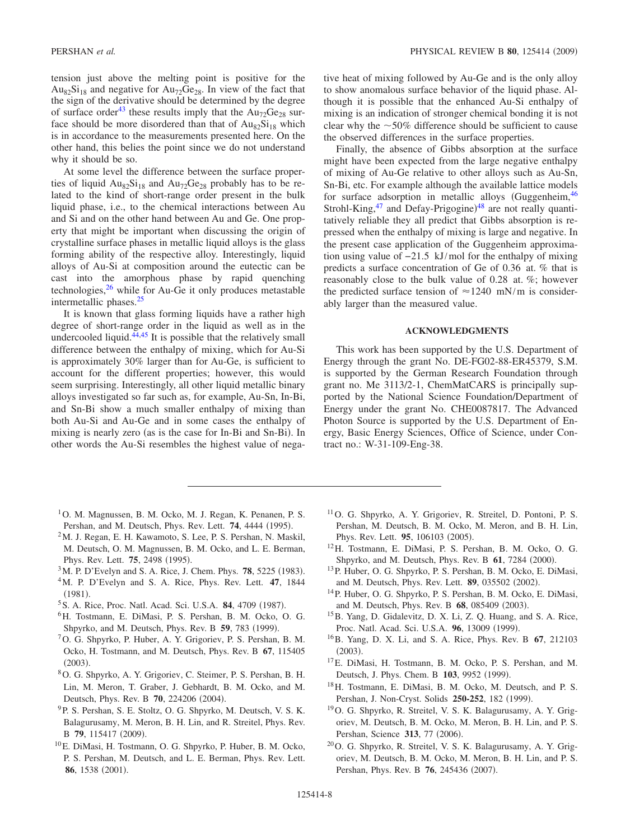tension just above the melting point is positive for the  $Au_{82}Si_{18}$  and negative for  $Au_{72}Ge_{28}$ . In view of the fact that the sign of the derivative should be determined by the degree of surface order<sup>43</sup> these results imply that the  $Au_{72}Ge_{28}$  surface should be more disordered than that of  $Au_{82}Si_{18}$  which is in accordance to the measurements presented here. On the other hand, this belies the point since we do not understand why it should be so.

At some level the difference between the surface properties of liquid  $Au_{82}Si_{18}$  and  $Au_{72}Ge_{28}$  probably has to be related to the kind of short-range order present in the bulk liquid phase, i.e., to the chemical interactions between Au and Si and on the other hand between Au and Ge. One property that might be important when discussing the origin of crystalline surface phases in metallic liquid alloys is the glass forming ability of the respective alloy. Interestingly, liquid alloys of Au-Si at composition around the eutectic can be cast into the amorphous phase by rapid quenching technologies, $26$  while for Au-Ge it only produces metastable intermetallic phases[.25](#page-8-3)

It is known that glass forming liquids have a rather high degree of short-range order in the liquid as well as in the undercooled liquid. $44,45$  $44,45$  It is possible that the relatively small difference between the enthalpy of mixing, which for Au-Si is approximately 30% larger than for Au-Ge, is sufficient to account for the different properties; however, this would seem surprising. Interestingly, all other liquid metallic binary alloys investigated so far such as, for example, Au-Sn, In-Bi, and Sn-Bi show a much smaller enthalpy of mixing than both Au-Si and Au-Ge and in some cases the enthalpy of mixing is nearly zero (as is the case for In-Bi and Sn-Bi). In other words the Au-Si resembles the highest value of negative heat of mixing followed by Au-Ge and is the only alloy to show anomalous surface behavior of the liquid phase. Although it is possible that the enhanced Au-Si enthalpy of mixing is an indication of stronger chemical bonding it is not clear why the  $\sim$  50% difference should be sufficient to cause the observed differences in the surface properties.

Finally, the absence of Gibbs absorption at the surface might have been expected from the large negative enthalpy of mixing of Au-Ge relative to other alloys such as Au-Sn, Sn-Bi, etc. For example although the available lattice models for surface adsorption in metallic alloys (Guggenheim,  $46$ ) Strohl-King,<sup>47</sup> and Defay-Prigogine)<sup>[48](#page-8-25)</sup> are not really quantitatively reliable they all predict that Gibbs absorption is repressed when the enthalpy of mixing is large and negative. In the present case application of the Guggenheim approximation using value of −21.5 kJ/mol for the enthalpy of mixing predicts a surface concentration of Ge of 0.36 at. *%* that is reasonably close to the bulk value of 0.28 at. *%*; however the predicted surface tension of  $\approx 1240$  mN/m is considerably larger than the measured value.

### **ACKNOWLEDGMENTS**

This work has been supported by the U.S. Department of Energy through the grant No. DE-FG02-88-ER45379, S.M. is supported by the German Research Foundation through grant no. Me 3113/2-1, ChemMatCARS is principally supported by the National Science Foundation/Department of Energy under the grant No. CHE0087817. The Advanced Photon Source is supported by the U.S. Department of Energy, Basic Energy Sciences, Office of Science, under Contract no.: W-31-109-Eng-38.

- <span id="page-7-0"></span><sup>1</sup>O. M. Magnussen, B. M. Ocko, M. J. Regan, K. Penanen, P. S. Pershan, and M. Deutsch, Phys. Rev. Lett. **74**, 4444 (1995).
- <span id="page-7-1"></span>2M. J. Regan, E. H. Kawamoto, S. Lee, P. S. Pershan, N. Maskil, M. Deutsch, O. M. Magnussen, B. M. Ocko, and L. E. Berman, Phys. Rev. Lett. **75**, 2498 (1995).
- <span id="page-7-2"></span><sup>3</sup>M. P. D'Evelyn and S. A. Rice, J. Chem. Phys. **78**, 5225 (1983).
- <span id="page-7-4"></span>4M. P. D'Evelyn and S. A. Rice, Phys. Rev. Lett. **47**, 1844  $(1981).$
- <span id="page-7-3"></span><sup>5</sup> S. A. Rice, Proc. Natl. Acad. Sci. U.S.A. **84**, 4709 (1987).
- <span id="page-7-5"></span>6H. Tostmann, E. DiMasi, P. S. Pershan, B. M. Ocko, O. G. Shpyrko, and M. Deutsch, Phys. Rev. B 59, 783 (1999).
- <span id="page-7-6"></span>7O. G. Shpyrko, P. Huber, A. Y. Grigoriev, P. S. Pershan, B. M. Ocko, H. Tostmann, and M. Deutsch, Phys. Rev. B **67**, 115405  $(2003).$
- <span id="page-7-7"></span>8O. G. Shpyrko, A. Y. Grigoriev, C. Steimer, P. S. Pershan, B. H. Lin, M. Meron, T. Graber, J. Gebhardt, B. M. Ocko, and M. Deutsch, Phys. Rev. B **70**, 224206 (2004).
- <span id="page-7-8"></span>9P. S. Pershan, S. E. Stoltz, O. G. Shpyrko, M. Deutsch, V. S. K. Balagurusamy, M. Meron, B. H. Lin, and R. Streitel, Phys. Rev. B 79, 115417 (2009).
- <span id="page-7-9"></span>10E. DiMasi, H. Tostmann, O. G. Shpyrko, P. Huber, B. M. Ocko, P. S. Pershan, M. Deutsch, and L. E. Berman, Phys. Rev. Lett. 86, 1538 (2001).
- <span id="page-7-10"></span>11O. G. Shpyrko, A. Y. Grigoriev, R. Streitel, D. Pontoni, P. S. Pershan, M. Deutsch, B. M. Ocko, M. Meron, and B. H. Lin, Phys. Rev. Lett. 95, 106103 (2005).
- <span id="page-7-11"></span>12H. Tostmann, E. DiMasi, P. S. Pershan, B. M. Ocko, O. G. Shpyrko, and M. Deutsch, Phys. Rev. B 61, 7284 (2000).
- <span id="page-7-12"></span>13P. Huber, O. G. Shpyrko, P. S. Pershan, B. M. Ocko, E. DiMasi, and M. Deutsch, Phys. Rev. Lett. 89, 035502 (2002).
- <span id="page-7-13"></span>14P. Huber, O. G. Shpyrko, P. S. Pershan, B. M. Ocko, E. DiMasi, and M. Deutsch, Phys. Rev. B 68, 085409 (2003).
- <span id="page-7-14"></span>15B. Yang, D. Gidalevitz, D. X. Li, Z. Q. Huang, and S. A. Rice, Proc. Natl. Acad. Sci. U.S.A. 96, 13009 (1999).
- <span id="page-7-15"></span>16B. Yang, D. X. Li, and S. A. Rice, Phys. Rev. B **67**, 212103  $(2003).$
- <span id="page-7-16"></span>17E. DiMasi, H. Tostmann, B. M. Ocko, P. S. Pershan, and M. Deutsch, J. Phys. Chem. B 103, 9952 (1999).
- <span id="page-7-17"></span>18H. Tostmann, E. DiMasi, B. M. Ocko, M. Deutsch, and P. S. Pershan, J. Non-Cryst. Solids 250-252, 182 (1999).
- <span id="page-7-18"></span>19O. G. Shpyrko, R. Streitel, V. S. K. Balagurusamy, A. Y. Grigoriev, M. Deutsch, B. M. Ocko, M. Meron, B. H. Lin, and P. S. Pershan, Science 313, 77 (2006).
- <span id="page-7-19"></span>20O. G. Shpyrko, R. Streitel, V. S. K. Balagurusamy, A. Y. Grigoriev, M. Deutsch, B. M. Ocko, M. Meron, B. H. Lin, and P. S. Pershan, Phys. Rev. B 76, 245436 (2007).